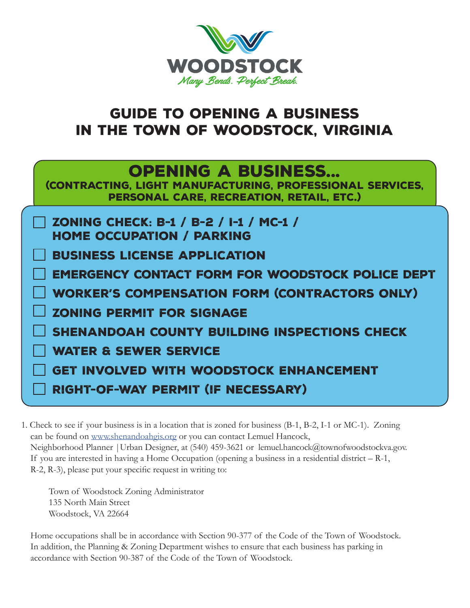

## Guide to Opening a business in the Town of Woodstock, virginia

| <b>OPENING A BUSINESS</b><br>(CONTRACTING, LIGHT MANUFACTURING, PROFESSIONAL SERVICES,<br>PERSONAL CARE, RECREATION, RETAIL, ETC.) |
|------------------------------------------------------------------------------------------------------------------------------------|
| <b>ZONING CHECK: B-1 / B-2 / I-1 / MC-1 /</b><br><b>HOME OCCUPATION / PARKING</b>                                                  |
| <b>BUSINESS LICENSE APPLICATION</b>                                                                                                |
| <b>EMERGENCY CONTACT FORM FOR WOODSTOCK POLICE DEPT</b>                                                                            |
| <b>WORKER'S COMPENSATION FORM (CONTRACTORS ONLY)</b>                                                                               |
| <b>ZONING PERMIT FOR SIGNAGE</b>                                                                                                   |
| SHENANDOAH COUNTY BUILDING INSPECTIONS CHECK                                                                                       |
| <b>WATER &amp; SEWER SERVICE</b>                                                                                                   |
| <b>GET INVOLVED WITH WOODSTOCK ENHANCEMENT</b>                                                                                     |
| <b>RIGHT-OF-WAY PERMIT (IF NECESSARY)</b>                                                                                          |

1. Check to see if your business is in a location that is zoned for business (B-1, B-2, I-1 or MC-1). Zoning can be found on www.shenandoahgis.org or you can contact Lemuel Hancock, Neighborhood Planner | Urban Designer, at (540) 459-3621 or lemuel.hancock@townofwoodstockva.gov. If you are interested in having a Home Occupation (opening a business in a residential district – R-1, R-2, R-3), please put your specific request in writing to:

Town of Woodstock Zoning Administrator 135 North Main Street Woodstock, VA 22664

 Home occupations shall be in accordance with Section 90-377 of the Code of the Town of Woodstock. In addition, the Planning & Zoning Department wishes to ensure that each business has parking in accordance with Section 90-387 of the Code of the Town of Woodstock.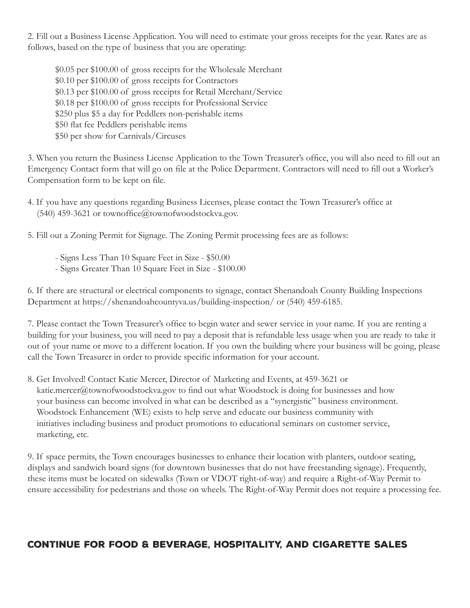2. Fill out a Business License Application. You will need to estimate your gross receipts for the year. Rates are as follows, based on the type of business that you are operating:

\$0.05 per \$100.00 of gross receipts for the Wholesale Merchant \$0.10 per \$100.00 of gross receipts for Contractors \$0.13 per \$100.00 of gross receipts for Retail Merchant/Service \$0.18 per \$100.00 of gross receipts for Professional Service \$250 plus \$5 a day for Peddlers non-perishable items \$50 flat fee Peddlers perishable items \$50 per show for Carnivals/Circuses

3. When you return the Business License Application to the Town Treasurer's office, you will also need to fill out an Emergency Contact form that will go on file at the Police Department. Contractors will need to fill out a Worker's Compensation form to be kept on file.

5. Fill out a Zoning Permit for Signage. The Zoning Permit processing fees are as follows:

- Signs Less Than 10 Square Feet in Size - \$50.00

- Signs Greater Than 10 Square Feet in Size - \$100.00

6. If there are structural or electrical components to signage, contact Shenandoah County Building Inspections Department at https://shenandoahcountyva.us/building-inspection/ or (540) 459-6185.

7. Please contact the Town Treasurer's office to begin water and sewer service in your name. If you are renting a building for your business, you will need to pay a deposit that is refundable less usage when you are ready to take it out of your name or move to a different location. If you own the building where your business will be going, please call the Town Treasurer in order to provide specific information for your account.

8. Get Involved! Contact Katie Mercer, Director of Marketing and Events, at 459-3621 or katie.mercer@townofwoodstockva.gov to find out what Woodstock is doing for businesses and how your business can become involved in what can be described as a "synergistic" business environment. Woodstock Enhancement (WE) exists to help serve and educate our business community with initiatives including business and product promotions to educational seminars on customer service, marketing, etc.

9. If space permits, the Town encourages businesses to enhance their location with planters, outdoor seating, displays and sandwich board signs (for downtown businesses that do not have freestanding signage). Frequently, these items must be located on sidewalks (Town or VDOT right-of-way) and require a Right-of-Way Permit to ensure accessibility for pedestrians and those on wheels. The Right-of-Way Permit does not require a processing fee.

## Continue for Food & Beverage, Hospitality, and cigarette sales

<sup>4.</sup> If you have any questions regarding Business Licenses, please contact the Town Treasurer's office at (540) 459-3621 or townoffice@townofwoodstockva.gov.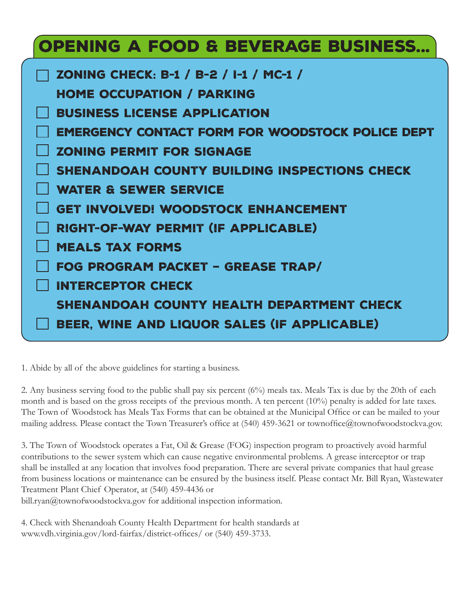## Opening a Food & Beverage Business...

| ZONING CHECK: B-1 / B-2 / I-1 / MC-1 /                  |
|---------------------------------------------------------|
| <b>HOME OCCUPATION / PARKING</b>                        |
| <b>BUSINESS LICENSE APPLICATION</b>                     |
| <b>EMERGENCY CONTACT FORM FOR WOODSTOCK POLICE DEPT</b> |
| <b>ZONING PERMIT FOR SIGNAGE</b>                        |
| SHENANDOAH COUNTY BUILDING INSPECTIONS CHECK            |
| <b>WATER &amp; SEWER SERVICE</b>                        |
| <b>GET INVOLVED! WOODSTOCK ENHANCEMENT</b>              |
| RIGHT-OF-WAY PERMIT (IF APPLICABLE)                     |
| <b>MEALS TAX FORMS</b>                                  |
| FOG PROGRAM PACKET - GREASE TRAP/                       |
| <b>INTERCEPTOR CHECK</b>                                |
| SHENANDOAH COUNTY HEALTH DEPARTMENT CHECK               |
| BEER, WINE AND LIQUOR SALES (IF APPLICABLE)             |

1. Abide by all of the above guidelines for starting a business.

2. Any business serving food to the public shall pay six percent (6%) meals tax. Meals Tax is due by the 20th of each month and is based on the gross receipts of the previous month. A ten percent (10%) penalty is added for late taxes. The Town of Woodstock has Meals Tax Forms that can be obtained at the Municipal Office or can be mailed to your mailing address. Please contact the Town Treasurer's office at (540) 459-3621 or townoffice@townofwoodstockva.gov.

3. The Town of Woodstock operates a Fat, Oil & Grease (FOG) inspection program to proactively avoid harmful contributions to the sewer system which can cause negative environmental problems. A grease interceptor or trap shall be installed at any location that involves food preparation. There are several private companies that haul grease from business locations or maintenance can be ensured by the business itself. Please contact Mr. Bill Ryan, Wastewater Treatment Plant Chief Operator, at (540) 459-4436 or

bill.ryan@townofwoodstockva.gov for additional inspection information.

4. Check with Shenandoah County Health Department for health standards at www.vdh.virginia.gov/lord-fairfax/district-offices/ or (540) 459-3733.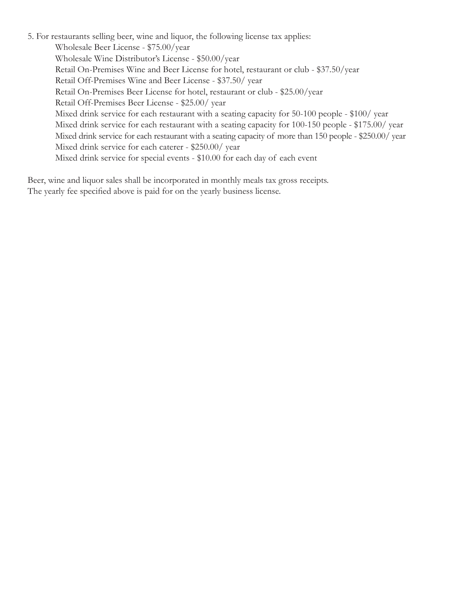5. For restaurants selling beer, wine and liquor, the following license tax applies: Wholesale Beer License - \$75.00/year Wholesale Wine Distributor's License - \$50.00/year Retail On-Premises Wine and Beer License for hotel, restaurant or club - \$37.50/year Retail Off-Premises Wine and Beer License - \$37.50/ year Retail On-Premises Beer License for hotel, restaurant or club - \$25.00/year Retail Off-Premises Beer License - \$25.00/ year Mixed drink service for each restaurant with a seating capacity for 50-100 people - \$100/ year Mixed drink service for each restaurant with a seating capacity for 100-150 people - \$175.00/ year Mixed drink service for each restaurant with a seating capacity of more than 150 people - \$250.00/ year Mixed drink service for each caterer - \$250.00/ year Mixed drink service for special events - \$10.00 for each day of each event

Beer, wine and liquor sales shall be incorporated in monthly meals tax gross receipts. The yearly fee specified above is paid for on the yearly business license.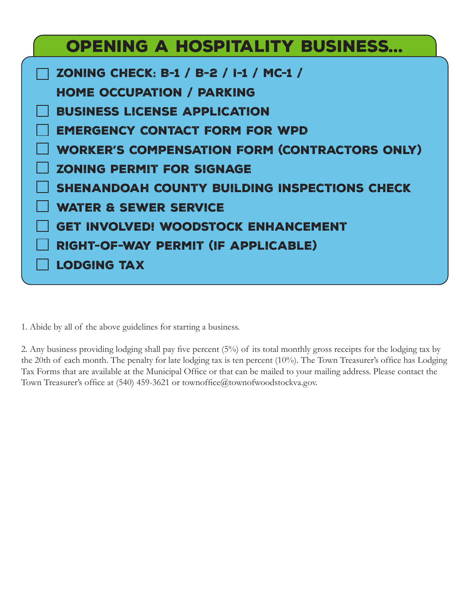| <b>OPENING A HOSPITALITY BUSINESS</b>                |
|------------------------------------------------------|
| ZONING CHECK: B-1 / B-2 / I-1 / MC-1 /               |
| <b>HOME OCCUPATION / PARKING</b>                     |
| <b>BUSINESS LICENSE APPLICATION</b>                  |
| <b>EMERGENCY CONTACT FORM FOR WPD</b>                |
| <b>WORKER'S COMPENSATION FORM (CONTRACTORS ONLY)</b> |
| <b>ZONING PERMIT FOR SIGNAGE</b>                     |
| SHENANDOAH COUNTY BUILDING INSPECTIONS CHECK         |
| <b>WATER &amp; SEWER SERVICE</b>                     |
| <b>GET INVOLVED! WOODSTOCK ENHANCEMENT</b>           |
| RIGHT-OF-WAY PERMIT (IF APPLICABLE)                  |
| <b>LODGING TAX</b>                                   |

1. Abide by all of the above guidelines for starting a business.

2. Any business providing lodging shall pay five percent (5%) of its total monthly gross receipts for the lodging tax by the 20th of each month. The penalty for late lodging tax is ten percent (10%). The Town Treasurer's office has Lodging Tax Forms that are available at the Municipal Office or that can be mailed to your mailing address. Please contact the Town Treasurer's office at (540) 459-3621 or townoffice@townofwoodstockva.gov.